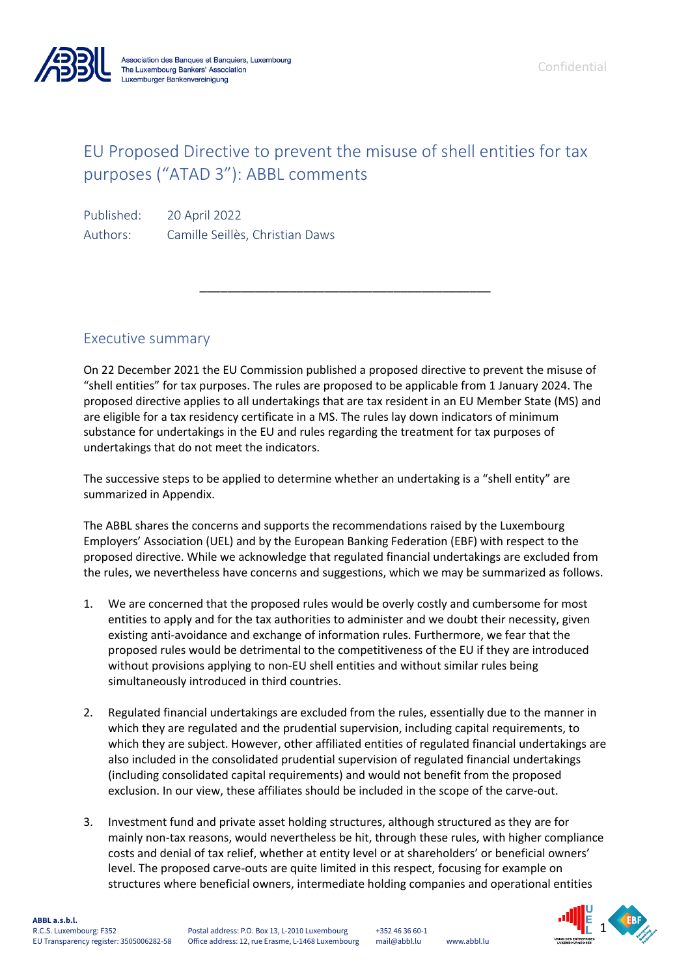

Confidential

# EU Proposed Directive to prevent the misuse of shell entities for tax purposes ("ATAD 3"): ABBL comments

Published: 20 April 2022 Authors: Camille Seillès, Christian Daws

# Executive summary

On 22 December 2021 the EU Commission published a proposed directive to prevent the misuse of "shell entities" for tax purposes. The rules are proposed to be applicable from 1 January 2024. The proposed directive applies to all undertakings that are tax resident in an EU Member State (MS) and are eligible for a tax residency certificate in a MS. The rules lay down indicators of minimum substance for undertakings in the EU and rules regarding the treatment for tax purposes of undertakings that do not meet the indicators.

\_\_\_\_\_\_\_\_\_\_\_\_\_\_\_\_\_\_\_\_\_\_\_\_\_\_\_\_\_\_\_\_\_\_\_\_\_\_\_\_\_\_

The successive steps to be applied to determine whether an undertaking is a "shell entity" are summarized in Appendix.

The ABBL shares the concerns and supports the recommendations raised by the Luxembourg Employers' Association (UEL) and by the European Banking Federation (EBF) with respect to the proposed directive. While we acknowledge that regulated financial undertakings are excluded from the rules, we nevertheless have concerns and suggestions, which we may be summarized as follows.

- 1. We are concerned that the proposed rules would be overly costly and cumbersome for most entities to apply and for the tax authorities to administer and we doubt their necessity, given existing anti-avoidance and exchange of information rules. Furthermore, we fear that the proposed rules would be detrimental to the competitiveness of the EU if they are introduced without provisions applying to non-EU shell entities and without similar rules being simultaneously introduced in third countries.
- 2. Regulated financial undertakings are excluded from the rules, essentially due to the manner in which they are regulated and the prudential supervision, including capital requirements, to which they are subject. However, other affiliated entities of regulated financial undertakings are also included in the consolidated prudential supervision of regulated financial undertakings (including consolidated capital requirements) and would not benefit from the proposed exclusion. In our view, these affiliates should be included in the scope of the carve-out.
- structures where beneficial owners, intermediate holding companies and operational entities 3. Investment fund and private asset holding structures, although structured as they are for mainly non-tax reasons, would nevertheless be hit, through these rules, with higher compliance costs and denial of tax relief, whether at entity level or at shareholders' or beneficial owners' level. The proposed carve-outs are quite limited in this respect, focusing for example on

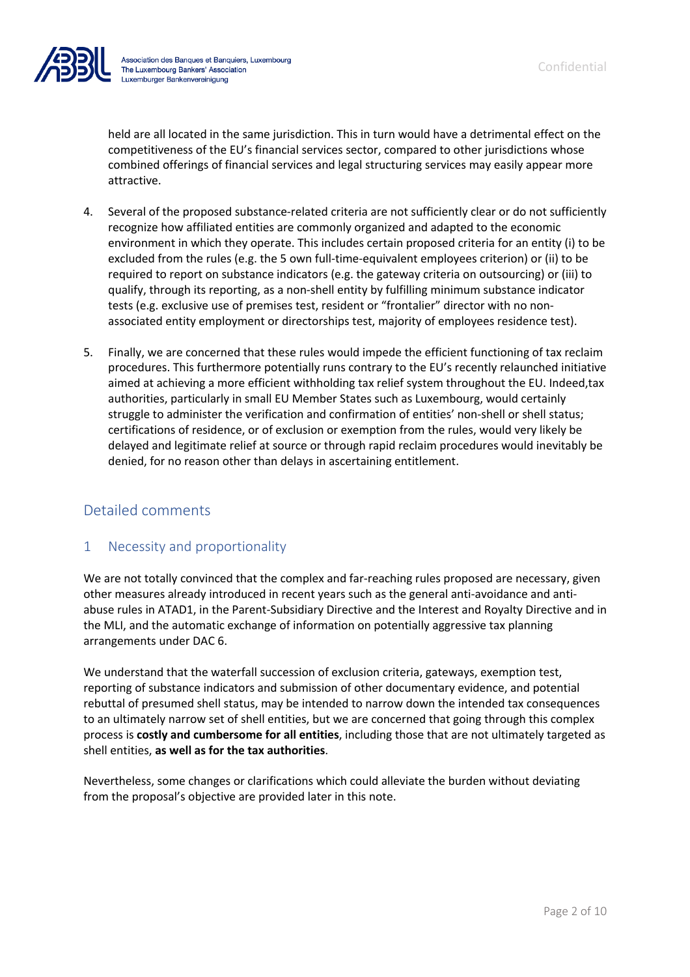

held are all located in the same jurisdiction. This in turn would have a detrimental effect on the competitiveness of the EU's financial services sector, compared to other jurisdictions whose combined offerings of financial services and legal structuring services may easily appear more attractive.

- 4. Several of the proposed substance-related criteria are not sufficiently clear or do not sufficiently recognize how affiliated entities are commonly organized and adapted to the economic environment in which they operate. This includes certain proposed criteria for an entity (i) to be excluded from the rules (e.g. the 5 own full-time-equivalent employees criterion) or (ii) to be required to report on substance indicators (e.g. the gateway criteria on outsourcing) or (iii) to qualify, through its reporting, as a non-shell entity by fulfilling minimum substance indicator tests (e.g. exclusive use of premises test, resident or "frontalier" director with no nonassociated entity employment or directorships test, majority of employees residence test).
- 5. Finally, we are concerned that these rules would impede the efficient functioning of tax reclaim procedures. This furthermore potentially runs contrary to the EU's recently relaunched initiative aimed at achieving a more efficient withholding tax relief system throughout the EU. Indeed,tax authorities, particularly in small EU Member States such as Luxembourg, would certainly struggle to administer the verification and confirmation of entities' non-shell or shell status; certifications of residence, or of exclusion or exemption from the rules, would very likely be delayed and legitimate relief at source or through rapid reclaim procedures would inevitably be denied, for no reason other than delays in ascertaining entitlement.

# Detailed comments

## 1 Necessity and proportionality

We are not totally convinced that the complex and far-reaching rules proposed are necessary, given other measures already introduced in recent years such as the general anti-avoidance and antiabuse rules in ATAD1, in the Parent-Subsidiary Directive and the Interest and Royalty Directive and in the MLI, and the automatic exchange of information on potentially aggressive tax planning arrangements under DAC 6.

We understand that the waterfall succession of exclusion criteria, gateways, exemption test, reporting of substance indicators and submission of other documentary evidence, and potential rebuttal of presumed shell status, may be intended to narrow down the intended tax consequences to an ultimately narrow set of shell entities, but we are concerned that going through this complex process is **costly and cumbersome for all entities**, including those that are not ultimately targeted as shell entities, **as well as for the tax authorities**.

Nevertheless, some changes or clarifications which could alleviate the burden without deviating from the proposal's objective are provided later in this note.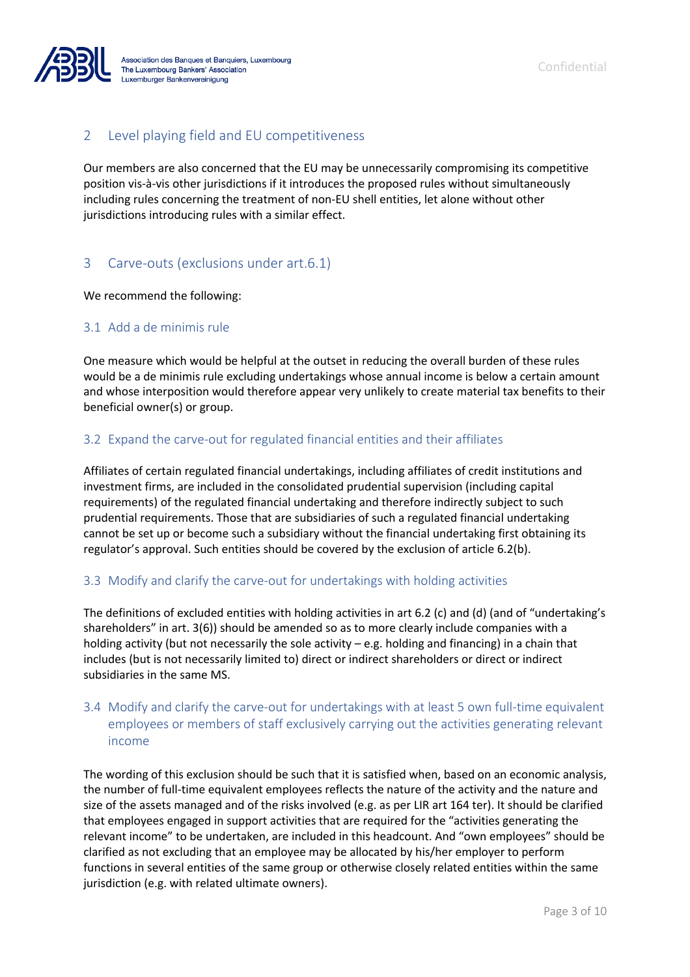

## 2 Level playing field and EU competitiveness

Our members are also concerned that the EU may be unnecessarily compromising its competitive position vis-à-vis other jurisdictions if it introduces the proposed rules without simultaneously including rules concerning the treatment of non-EU shell entities, let alone without other jurisdictions introducing rules with a similar effect.

## 3 Carve-outs (exclusions under art.6.1)

We recommend the following:

#### 3.1 Add a de minimis rule

One measure which would be helpful at the outset in reducing the overall burden of these rules would be a de minimis rule excluding undertakings whose annual income is below a certain amount and whose interposition would therefore appear very unlikely to create material tax benefits to their beneficial owner(s) or group.

#### 3.2 Expand the carve-out for regulated financial entities and their affiliates

Affiliates of certain regulated financial undertakings, including affiliates of credit institutions and investment firms, are included in the consolidated prudential supervision (including capital requirements) of the regulated financial undertaking and therefore indirectly subject to such prudential requirements. Those that are subsidiaries of such a regulated financial undertaking cannot be set up or become such a subsidiary without the financial undertaking first obtaining its regulator's approval. Such entities should be covered by the exclusion of article 6.2(b).

#### 3.3 Modify and clarify the carve-out for undertakings with holding activities

The definitions of excluded entities with holding activities in art 6.2 (c) and (d) (and of "undertaking's shareholders" in art. 3(6)) should be amended so as to more clearly include companies with a holding activity (but not necessarily the sole activity – e.g. holding and financing) in a chain that includes (but is not necessarily limited to) direct or indirect shareholders or direct or indirect subsidiaries in the same MS.

## 3.4 Modify and clarify the carve-out for undertakings with at least 5 own full-time equivalent employees or members of staff exclusively carrying out the activities generating relevant income

The wording of this exclusion should be such that it is satisfied when, based on an economic analysis, the number of full-time equivalent employees reflects the nature of the activity and the nature and size of the assets managed and of the risks involved (e.g. as per LIR art 164 ter). It should be clarified that employees engaged in support activities that are required for the "activities generating the relevant income" to be undertaken, are included in this headcount. And "own employees" should be clarified as not excluding that an employee may be allocated by his/her employer to perform functions in several entities of the same group or otherwise closely related entities within the same jurisdiction (e.g. with related ultimate owners).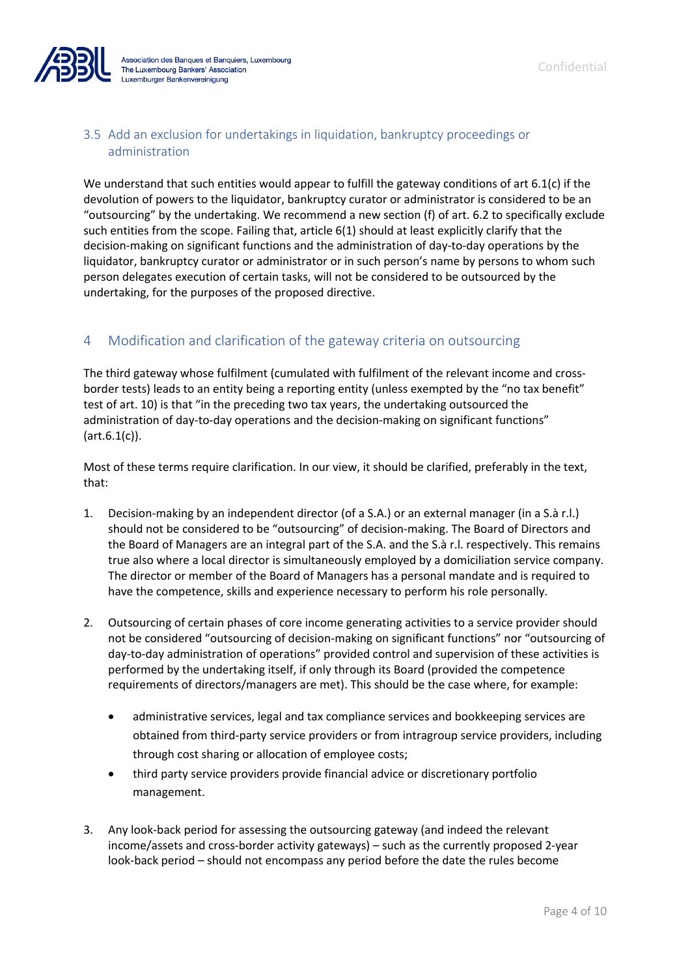

## 3.5 Add an exclusion for undertakings in liquidation, bankruptcy proceedings or administration

We understand that such entities would appear to fulfill the gateway conditions of art 6.1(c) if the devolution of powers to the liquidator, bankruptcy curator or administrator is considered to be an "outsourcing" by the undertaking. We recommend a new section (f) of art. 6.2 to specifically exclude such entities from the scope. Failing that, article 6(1) should at least explicitly clarify that the decision-making on significant functions and the administration of day-to-day operations by the liquidator, bankruptcy curator or administrator or in such person's name by persons to whom such person delegates execution of certain tasks, will not be considered to be outsourced by the undertaking, for the purposes of the proposed directive.

# 4 Modification and clarification of the gateway criteria on outsourcing

The third gateway whose fulfilment (cumulated with fulfilment of the relevant income and crossborder tests) leads to an entity being a reporting entity (unless exempted by the "no tax benefit" test of art. 10) is that "in the preceding two tax years, the undertaking outsourced the administration of day-to-day operations and the decision-making on significant functions" (art.6.1(c)).

Most of these terms require clarification. In our view, it should be clarified, preferably in the text, that:

- 1. Decision-making by an independent director (of a S.A.) or an external manager (in a S.à r.l.) should not be considered to be "outsourcing" of decision-making. The Board of Directors and the Board of Managers are an integral part of the S.A. and the S.à r.l. respectively. This remains true also where a local director is simultaneously employed by a domiciliation service company. The director or member of the Board of Managers has a personal mandate and is required to have the competence, skills and experience necessary to perform his role personally.
- 2. Outsourcing of certain phases of core income generating activities to a service provider should not be considered "outsourcing of decision-making on significant functions" nor "outsourcing of day-to-day administration of operations" provided control and supervision of these activities is performed by the undertaking itself, if only through its Board (provided the competence requirements of directors/managers are met). This should be the case where, for example:
	- administrative services, legal and tax compliance services and bookkeeping services are obtained from third-party service providers or from intragroup service providers, including through cost sharing or allocation of employee costs;
	- third party service providers provide financial advice or discretionary portfolio management.
- 3. Any look-back period for assessing the outsourcing gateway (and indeed the relevant income/assets and cross-border activity gateways) – such as the currently proposed 2-year look-back period – should not encompass any period before the date the rules become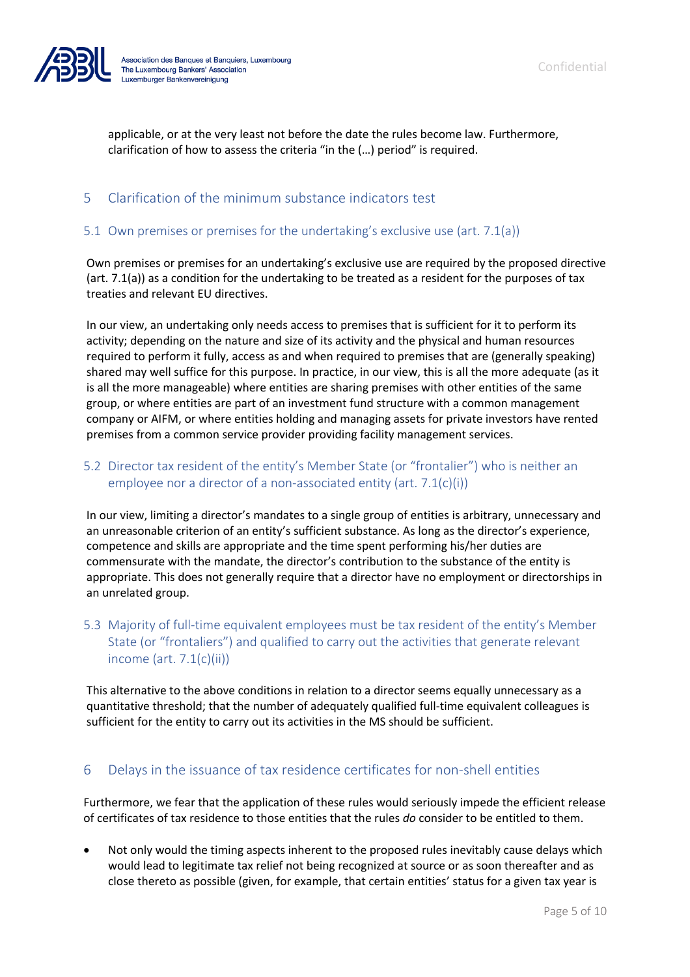

applicable, or at the very least not before the date the rules become law. Furthermore, clarification of how to assess the criteria "in the (…) period" is required.

#### 5 Clarification of the minimum substance indicators test

#### 5.1 Own premises or premises for the undertaking's exclusive use (art. 7.1(a))

Own premises or premises for an undertaking's exclusive use are required by the proposed directive (art. 7.1(a)) as a condition for the undertaking to be treated as a resident for the purposes of tax treaties and relevant EU directives.

In our view, an undertaking only needs access to premises that is sufficient for it to perform its activity; depending on the nature and size of its activity and the physical and human resources required to perform it fully, access as and when required to premises that are (generally speaking) shared may well suffice for this purpose. In practice, in our view, this is all the more adequate (as it is all the more manageable) where entities are sharing premises with other entities of the same group, or where entities are part of an investment fund structure with a common management company or AIFM, or where entities holding and managing assets for private investors have rented premises from a common service provider providing facility management services.

## 5.2 Director tax resident of the entity's Member State (or "frontalier") who is neither an employee nor a director of a non-associated entity (art. 7.1(c)(i))

In our view, limiting a director's mandates to a single group of entities is arbitrary, unnecessary and an unreasonable criterion of an entity's sufficient substance. As long as the director's experience, competence and skills are appropriate and the time spent performing his/her duties are commensurate with the mandate, the director's contribution to the substance of the entity is appropriate. This does not generally require that a director have no employment or directorships in an unrelated group.

## 5.3 Majority of full-time equivalent employees must be tax resident of the entity's Member State (or "frontaliers") and qualified to carry out the activities that generate relevant income (art. 7.1(c)(ii))

This alternative to the above conditions in relation to a director seems equally unnecessary as a quantitative threshold; that the number of adequately qualified full-time equivalent colleagues is sufficient for the entity to carry out its activities in the MS should be sufficient.

#### 6 Delays in the issuance of tax residence certificates for non-shell entities

Furthermore, we fear that the application of these rules would seriously impede the efficient release of certificates of tax residence to those entities that the rules *do* consider to be entitled to them.

• Not only would the timing aspects inherent to the proposed rules inevitably cause delays which would lead to legitimate tax relief not being recognized at source or as soon thereafter and as close thereto as possible (given, for example, that certain entities' status for a given tax year is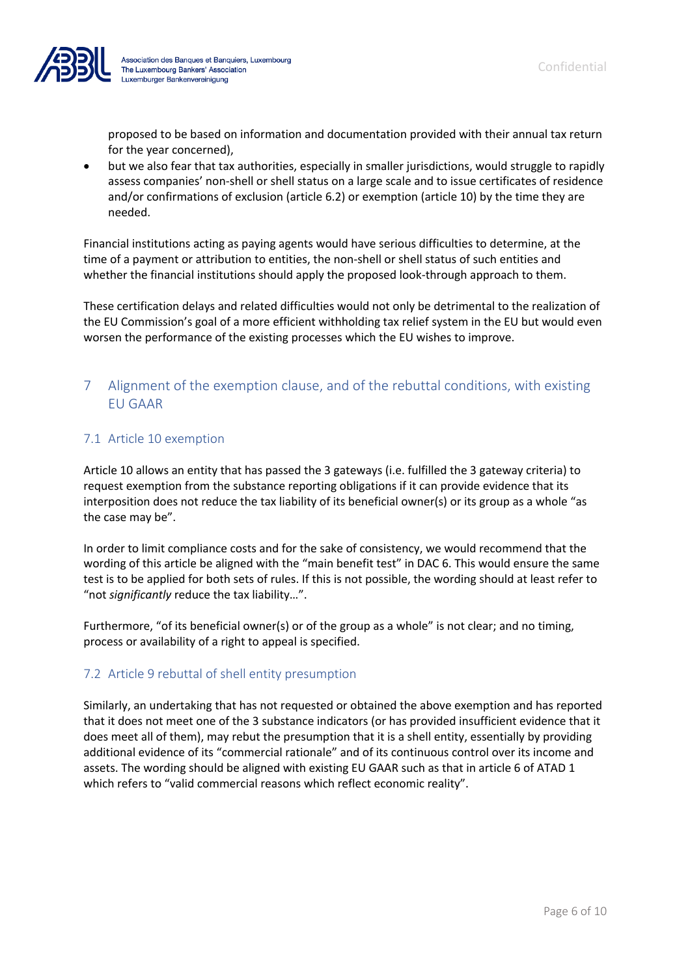

proposed to be based on information and documentation provided with their annual tax return for the year concerned),

• but we also fear that tax authorities, especially in smaller jurisdictions, would struggle to rapidly assess companies' non-shell or shell status on a large scale and to issue certificates of residence and/or confirmations of exclusion (article 6.2) or exemption (article 10) by the time they are needed.

Financial institutions acting as paying agents would have serious difficulties to determine, at the time of a payment or attribution to entities, the non-shell or shell status of such entities and whether the financial institutions should apply the proposed look-through approach to them.

These certification delays and related difficulties would not only be detrimental to the realization of the EU Commission's goal of a more efficient withholding tax relief system in the EU but would even worsen the performance of the existing processes which the EU wishes to improve.

## 7 Alignment of the exemption clause, and of the rebuttal conditions, with existing EU GAAR

## 7.1 Article 10 exemption

Article 10 allows an entity that has passed the 3 gateways (i.e. fulfilled the 3 gateway criteria) to request exemption from the substance reporting obligations if it can provide evidence that its interposition does not reduce the tax liability of its beneficial owner(s) or its group as a whole "as the case may be".

In order to limit compliance costs and for the sake of consistency, we would recommend that the wording of this article be aligned with the "main benefit test" in DAC 6. This would ensure the same test is to be applied for both sets of rules. If this is not possible, the wording should at least refer to "not *significantly* reduce the tax liability…".

Furthermore, "of its beneficial owner(s) or of the group as a whole" is not clear; and no timing, process or availability of a right to appeal is specified.

#### 7.2 Article 9 rebuttal of shell entity presumption

Similarly, an undertaking that has not requested or obtained the above exemption and has reported that it does not meet one of the 3 substance indicators (or has provided insufficient evidence that it does meet all of them), may rebut the presumption that it is a shell entity, essentially by providing additional evidence of its "commercial rationale" and of its continuous control over its income and assets. The wording should be aligned with existing EU GAAR such as that in article 6 of ATAD 1 which refers to "valid commercial reasons which reflect economic reality".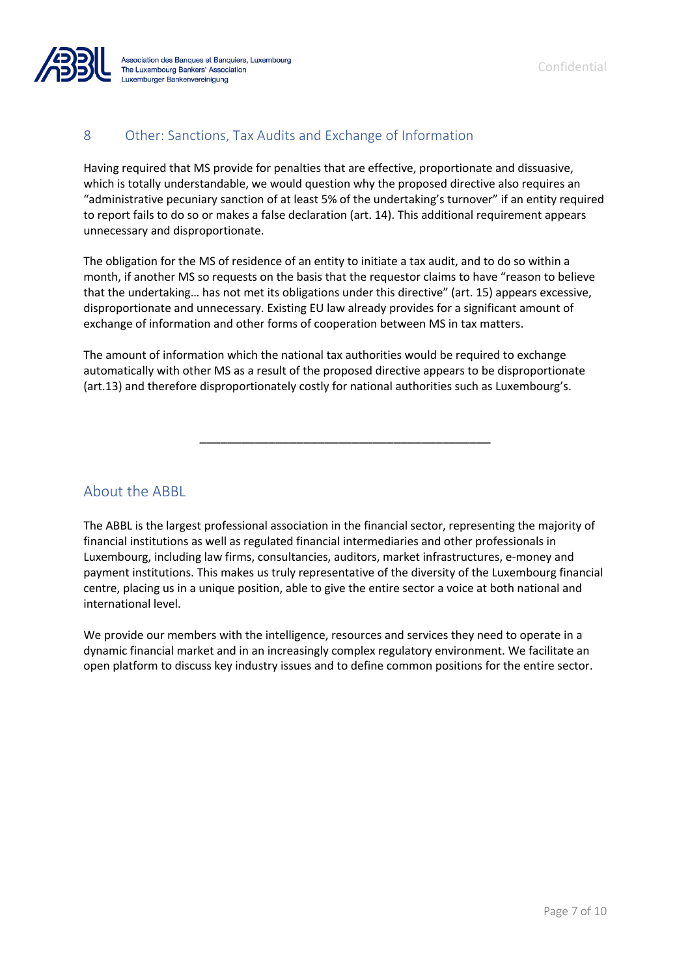

## 8 Other: Sanctions, Tax Audits and Exchange of Information

Having required that MS provide for penalties that are effective, proportionate and dissuasive, which is totally understandable, we would question why the proposed directive also requires an "administrative pecuniary sanction of at least 5% of the undertaking's turnover" if an entity required to report fails to do so or makes a false declaration (art. 14). This additional requirement appears unnecessary and disproportionate.

The obligation for the MS of residence of an entity to initiate a tax audit, and to do so within a month, if another MS so requests on the basis that the requestor claims to have "reason to believe that the undertaking… has not met its obligations under this directive" (art. 15) appears excessive, disproportionate and unnecessary. Existing EU law already provides for a significant amount of exchange of information and other forms of cooperation between MS in tax matters.

The amount of information which the national tax authorities would be required to exchange automatically with other MS as a result of the proposed directive appears to be disproportionate (art.13) and therefore disproportionately costly for national authorities such as Luxembourg's.

\_\_\_\_\_\_\_\_\_\_\_\_\_\_\_\_\_\_\_\_\_\_\_\_\_\_\_\_\_\_\_\_\_\_\_\_\_\_\_\_\_\_

About the ABBL

The ABBL is the largest professional association in the financial sector, representing the majority of financial institutions as well as regulated financial intermediaries and other professionals in Luxembourg, including law firms, consultancies, auditors, market infrastructures, e-money and payment institutions. This makes us truly representative of the diversity of the Luxembourg financial centre, placing us in a unique position, able to give the entire sector a voice at both national and international level.

We provide our members with the intelligence, resources and services they need to operate in a dynamic financial market and in an increasingly complex regulatory environment. We facilitate an open platform to discuss key industry issues and to define common positions for the entire sector.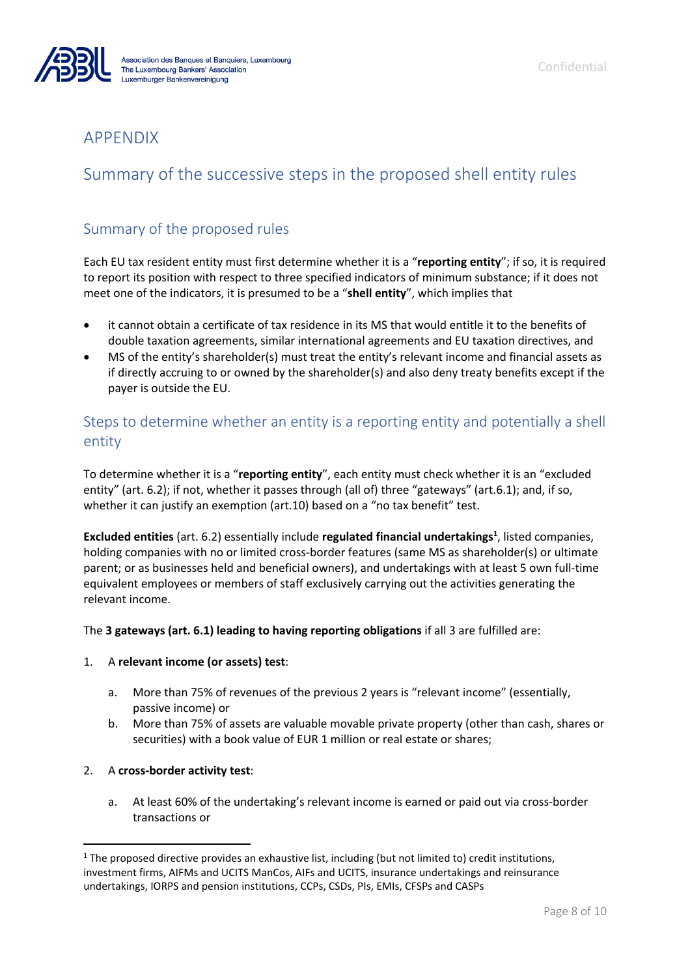

# APPENDIX

# Summary of the successive steps in the proposed shell entity rules

# Summary of the proposed rules

Each EU tax resident entity must first determine whether it is a "**reporting entity**"; if so, it is required to report its position with respect to three specified indicators of minimum substance; if it does not meet one of the indicators, it is presumed to be a "**shell entity**", which implies that

- it cannot obtain a certificate of tax residence in its MS that would entitle it to the benefits of double taxation agreements, similar international agreements and EU taxation directives, and
- MS of the entity's shareholder(s) must treat the entity's relevant income and financial assets as if directly accruing to or owned by the shareholder(s) and also deny treaty benefits except if the payer is outside the EU.

# Steps to determine whether an entity is a reporting entity and potentially a shell entity

To determine whether it is a "**reporting entity**", each entity must check whether it is an "excluded entity" (art. 6.2); if not, whether it passes through (all of) three "gateways" (art.6.1); and, if so, whether it can justify an exemption (art.10) based on a "no tax benefit" test.

Excluded entities (art. 6.2) essentially include regulated financial undertakings<sup>1</sup>, listed companies, holding companies with no or limited cross-border features (same MS as shareholder(s) or ultimate parent; or as businesses held and beneficial owners), and undertakings with at least 5 own full-time equivalent employees or members of staff exclusively carrying out the activities generating the relevant income.

The **3 gateways (art. 6.1) leading to having reporting obligations** if all 3 are fulfilled are:

#### 1. A **relevant income (or assets) test**:

- a. More than 75% of revenues of the previous 2 years is "relevant income" (essentially, passive income) or
- b. More than 75% of assets are valuable movable private property (other than cash, shares or securities) with a book value of EUR 1 million or real estate or shares;

#### 2. A **cross-border activity test**:

a. At least 60% of the undertaking's relevant income is earned or paid out via cross-border transactions or

<sup>&</sup>lt;sup>1</sup> The proposed directive provides an exhaustive list, including (but not limited to) credit institutions, investment firms, AIFMs and UCITS ManCos, AIFs and UCITS, insurance undertakings and reinsurance undertakings, IORPS and pension institutions, CCPs, CSDs, PIs, EMIs, CFSPs and CASPs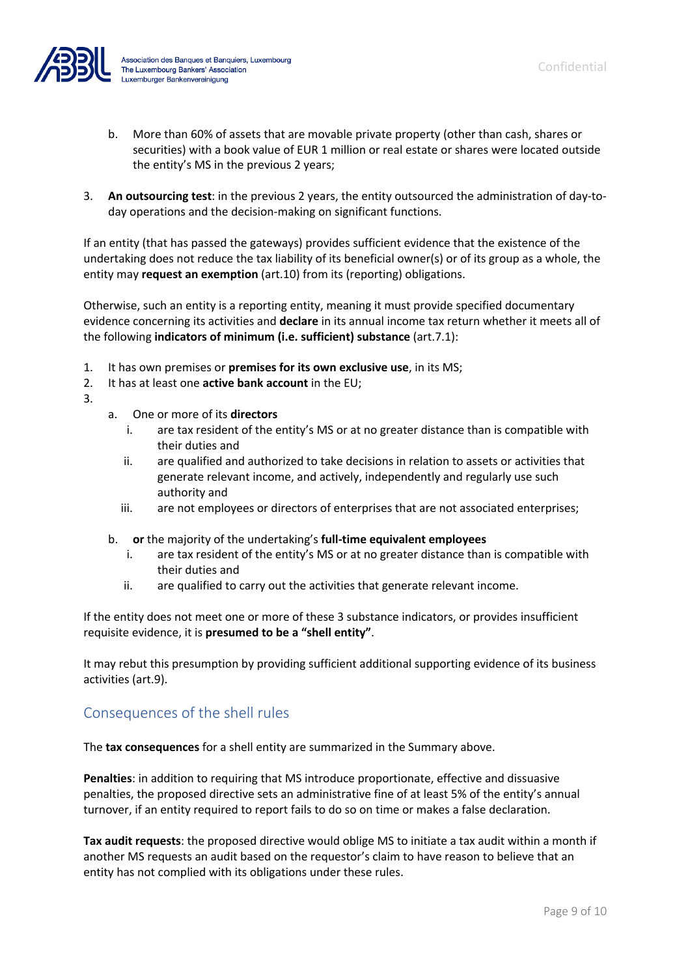

- b. More than 60% of assets that are movable private property (other than cash, shares or securities) with a book value of EUR 1 million or real estate or shares were located outside the entity's MS in the previous 2 years;
- 3. **An outsourcing test**: in the previous 2 years, the entity outsourced the administration of day-today operations and the decision-making on significant functions.

If an entity (that has passed the gateways) provides sufficient evidence that the existence of the undertaking does not reduce the tax liability of its beneficial owner(s) or of its group as a whole, the entity may **request an exemption** (art.10) from its (reporting) obligations.

Otherwise, such an entity is a reporting entity, meaning it must provide specified documentary evidence concerning its activities and **declare** in its annual income tax return whether it meets all of the following **indicators of minimum (i.e. sufficient) substance** (art.7.1):

- 1. It has own premises or **premises for its own exclusive use**, in its MS;
- 2. It has at least one **active bank account** in the EU;
- 3.
- a. One or more of its **directors**
	- i. are tax resident of the entity's MS or at no greater distance than is compatible with their duties and
	- ii. are qualified and authorized to take decisions in relation to assets or activities that generate relevant income, and actively, independently and regularly use such authority and
	- iii. are not employees or directors of enterprises that are not associated enterprises;
- b. **or** the majority of the undertaking's **full-time equivalent employees**
	- i. are tax resident of the entity's MS or at no greater distance than is compatible with their duties and
	- ii. are qualified to carry out the activities that generate relevant income.

If the entity does not meet one or more of these 3 substance indicators, or provides insufficient requisite evidence, it is **presumed to be a "shell entity"**.

It may rebut this presumption by providing sufficient additional supporting evidence of its business activities (art.9).

# Consequences of the shell rules

The **tax consequences** for a shell entity are summarized in the Summary above.

**Penalties**: in addition to requiring that MS introduce proportionate, effective and dissuasive penalties, the proposed directive sets an administrative fine of at least 5% of the entity's annual turnover, if an entity required to report fails to do so on time or makes a false declaration.

**Tax audit requests**: the proposed directive would oblige MS to initiate a tax audit within a month if another MS requests an audit based on the requestor's claim to have reason to believe that an entity has not complied with its obligations under these rules.